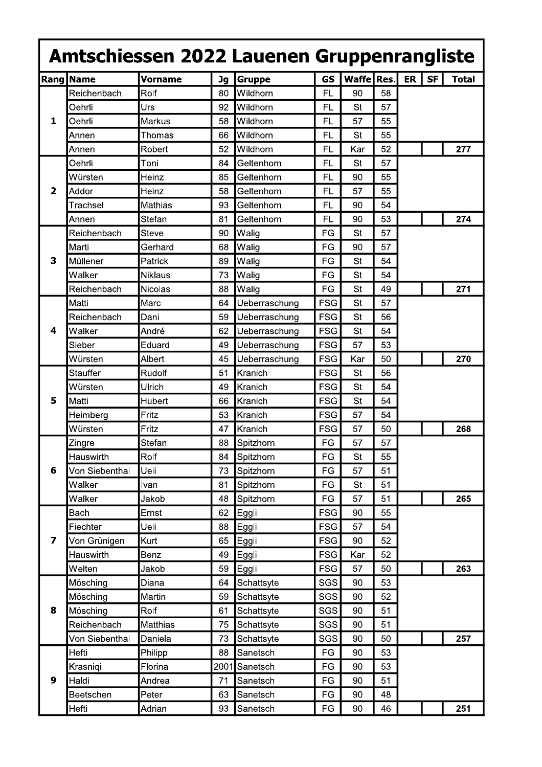|   | <b>Rang Name</b> | <b>Vorname</b> | <b>Jg</b> | Amtschiessen 2022 Lauenen Gruppenrangliste<br>Gruppe | <b>GS</b>  | Waffe Res. |    | <b>ER</b> | <b>SF</b> | <b>Total</b> |
|---|------------------|----------------|-----------|------------------------------------------------------|------------|------------|----|-----------|-----------|--------------|
| 1 | Reichenbach      | Rolf           | 80        | Wildhorn                                             | FL         | 90         | 58 |           |           |              |
|   | Oehrli           | Urs            | 92        | Wildhorn                                             | FL         | St         | 57 |           |           |              |
|   | Oehrli           | Markus         | 58        | Wildhorn                                             | FL         | 57         | 55 |           |           |              |
|   | Annen            | Thomas         | 66        | Wildhorn                                             | FL         | St         | 55 |           |           |              |
|   | Annen            | Robert         | 52        | Wildhorn                                             | FL         | Kar        | 52 |           |           | 277          |
|   | Oehrli           | Toni           | 84        | Geltenhorn                                           | FL         | <b>St</b>  | 57 |           |           |              |
|   | Würsten          | Heinz          | 85        | Geltenhorn                                           | FL         | 90         | 55 |           |           |              |
| 2 | Addor            | Heinz          | 58        | Geltenhorn                                           | FL         | 57         | 55 |           |           |              |
|   | Trachsel         | <b>Mathias</b> | 93        | Geltenhorn                                           | FL         | 90         | 54 |           |           |              |
|   | Annen            | Stefan         | 81        | Geltenhorn                                           | <b>FL</b>  | 90         | 53 |           |           | 274          |
|   | Reichenbach      | Steve          | 90        | Walig                                                | FG         | St         | 57 |           |           |              |
|   | Marti            | Gerhard        | 68        | Walig                                                | FG         | 90         | 57 |           |           |              |
| 3 | Müllener         | Patrick        | 89        | Walig                                                | FG         | <b>St</b>  | 54 |           |           |              |
|   | Walker           | <b>Niklaus</b> | 73        | Walig                                                | FG         | <b>St</b>  | 54 |           |           |              |
|   | Reichenbach      | <b>Nicolas</b> | 88        | Walig                                                | FG         | St         | 49 |           |           | 271          |
|   | Matti            | Marc           | 64        | Ueberraschung                                        | <b>FSG</b> | <b>St</b>  | 57 |           |           |              |
| 4 | Reichenbach      | Dani           | 59        | Ueberraschung                                        | <b>FSG</b> | St         | 56 |           |           |              |
|   | Walker           | André          | 62        | Ueberraschung                                        | <b>FSG</b> | <b>St</b>  | 54 |           |           |              |
|   | Sieber           | Eduard         | 49        | Ueberraschung                                        | <b>FSG</b> | 57         | 53 |           |           |              |
|   | Würsten          | Albert         | 45        | Ueberraschung                                        | <b>FSG</b> | Kar        | 50 |           |           | 270          |
| 5 | Stauffer         | Rudolf         | 51        | Kranich                                              | <b>FSG</b> | <b>St</b>  | 56 |           |           |              |
|   | Würsten          | Ulrich         | 49        | Kranich                                              | <b>FSG</b> | St         | 54 |           |           |              |
|   | Matti            | Hubert         | 66        | Kranich                                              | <b>FSG</b> | <b>St</b>  | 54 |           |           |              |
|   | Heimberg         | Fritz          | 53        | Kranich                                              | <b>FSG</b> | 57         | 54 |           |           |              |
|   | Würsten          | Fritz          | 47        | Kranich                                              | <b>FSG</b> | 57         | 50 |           |           | 268          |
| 6 | Zingre           | Stefan         | 88        | Spitzhorn                                            | FG         | 57         | 57 |           |           |              |
|   | Hauswirth        | Rolf           | 84        | Spitzhorn                                            | FG         | <b>St</b>  | 55 |           |           |              |
|   | Von Siebenthal   | Ueli           | 73        | Spitzhorn                                            | FG         | 57         | 51 |           |           |              |
|   | Walker           | Ivan           | 81        | Spitzhorn                                            | FG         | <b>St</b>  | 51 |           |           |              |
|   | Walker           | Jakob          | 48        | Spitzhorn                                            | FG         | 57         | 51 |           |           | 265          |
| 7 | <b>Bach</b>      | Ernst          | 62        | Eggli                                                | <b>FSG</b> | 90         | 55 |           |           |              |
|   | Fiechter         | Ueli           | 88        | Eggli                                                | <b>FSG</b> | 57         | 54 |           |           |              |
|   | Von Grünigen     | Kurt           | 65        | Eggli                                                | <b>FSG</b> | 90         | 52 |           |           |              |
|   | Hauswirth        | Benz           | 49        | Eggli                                                | <b>FSG</b> | Kar        | 52 |           |           |              |
|   | Welten           | Jakob          | 59        | Eggli                                                | <b>FSG</b> | 57         | 50 |           |           | 263          |
| 8 | Mösching         | Diana          | 64        | Schattsyte                                           | SGS        | 90         | 53 |           |           |              |
|   | Mösching         | Martin         | 59        | Schattsyte                                           | <b>SGS</b> | 90         | 52 |           |           |              |
|   | Mösching         | Rolf           | 61        | Schattsyte                                           | SGS        | $90\,$     | 51 |           |           |              |
|   | Reichenbach      | Matthias       | 75        | Schattsyte                                           | SGS        | 90         | 51 |           |           |              |
|   | Von Siebenthal   | Daniela        | 73        | Schattsyte                                           | SGS        | 90         | 50 |           |           | 257          |
| 9 | Hefti            | Philipp        | 88        | Sanetsch                                             | FG         | 90         | 53 |           |           |              |
|   | Krasniqi         | Florina        | 2001      | Sanetsch                                             | FG         | 90         | 53 |           |           |              |
|   | Haldi            | Andrea         | 71        | Sanetsch                                             | FG         | 90         | 51 |           |           |              |
|   | Beetschen        | Peter          | 63        | Sanetsch                                             | FG         | 90         | 48 |           |           |              |
|   | Hefti            | Adrian         | 93        | Sanetsch                                             | FG         | 90         | 46 |           |           | 251          |